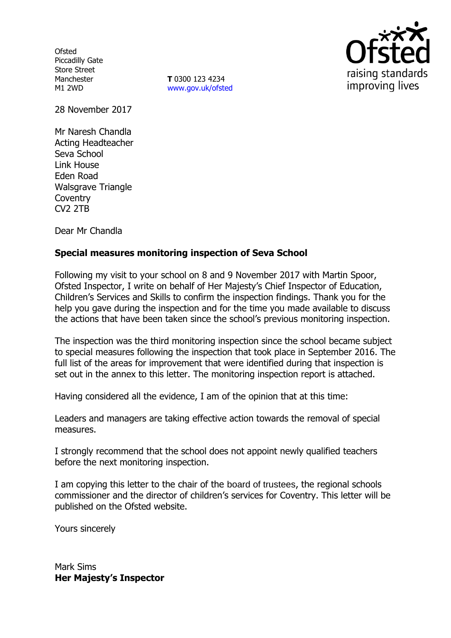**Ofsted** Piccadilly Gate Store Street Manchester M1 2WD

**T** 0300 123 4234 www.gov.uk/ofsted



28 November 2017

Mr Naresh Chandla Acting Headteacher Seva School Link House Eden Road Walsgrave Triangle **Coventry** CV2 2TB

Dear Mr Chandla

# **Special measures monitoring inspection of Seva School**

Following my visit to your school on 8 and 9 November 2017 with Martin Spoor, Ofsted Inspector, I write on behalf of Her Majesty's Chief Inspector of Education, Children's Services and Skills to confirm the inspection findings. Thank you for the help you gave during the inspection and for the time you made available to discuss the actions that have been taken since the school's previous monitoring inspection.

The inspection was the third monitoring inspection since the school became subject to special measures following the inspection that took place in September 2016. The full list of the areas for improvement that were identified during that inspection is set out in the annex to this letter. The monitoring inspection report is attached.

Having considered all the evidence, I am of the opinion that at this time:

Leaders and managers are taking effective action towards the removal of special measures.

I strongly recommend that the school does not appoint newly qualified teachers before the next monitoring inspection.

I am copying this letter to the chair of the board of trustees, the regional schools commissioner and the director of children's services for Coventry. This letter will be published on the Ofsted website.

Yours sincerely

Mark Sims **Her Majesty's Inspector**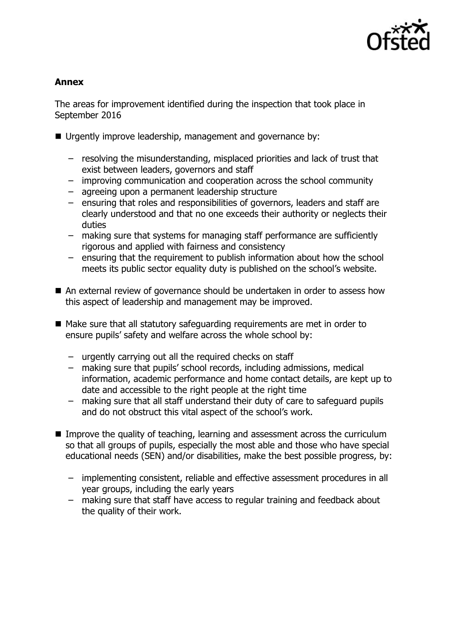

## **Annex**

The areas for improvement identified during the inspection that took place in September 2016

- Urgently improve leadership, management and governance by:
	- resolving the misunderstanding, misplaced priorities and lack of trust that exist between leaders, governors and staff
	- improving communication and cooperation across the school community
	- agreeing upon a permanent leadership structure
	- ensuring that roles and responsibilities of governors, leaders and staff are clearly understood and that no one exceeds their authority or neglects their duties
	- making sure that systems for managing staff performance are sufficiently rigorous and applied with fairness and consistency
	- ensuring that the requirement to publish information about how the school meets its public sector equality duty is published on the school's website.
- An external review of governance should be undertaken in order to assess how this aspect of leadership and management may be improved.
- Make sure that all statutory safeguarding requirements are met in order to ensure pupils' safety and welfare across the whole school by:
	- urgently carrying out all the required checks on staff
	- making sure that pupils' school records, including admissions, medical information, academic performance and home contact details, are kept up to date and accessible to the right people at the right time
	- making sure that all staff understand their duty of care to safeguard pupils and do not obstruct this vital aspect of the school's work.
- Improve the quality of teaching, learning and assessment across the curriculum so that all groups of pupils, especially the most able and those who have special educational needs (SEN) and/or disabilities, make the best possible progress, by:
	- implementing consistent, reliable and effective assessment procedures in all year groups, including the early years
	- making sure that staff have access to regular training and feedback about the quality of their work.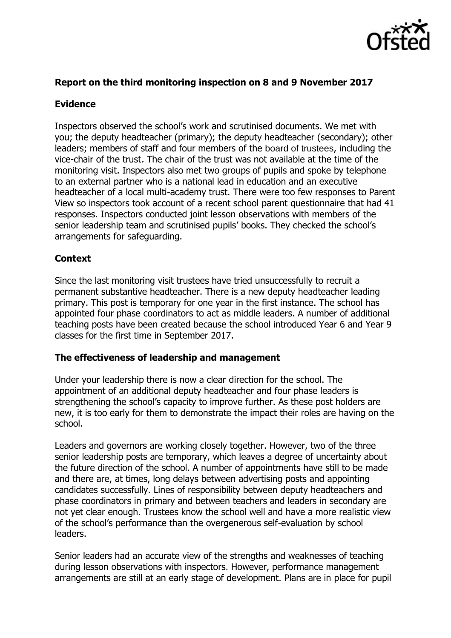

### **Report on the third monitoring inspection on 8 and 9 November 2017**

## **Evidence**

Inspectors observed the school's work and scrutinised documents. We met with you; the deputy headteacher (primary); the deputy headteacher (secondary); other leaders; members of staff and four members of the board of trustees, including the vice-chair of the trust. The chair of the trust was not available at the time of the monitoring visit. Inspectors also met two groups of pupils and spoke by telephone to an external partner who is a national lead in education and an executive headteacher of a local multi-academy trust. There were too few responses to Parent View so inspectors took account of a recent school parent questionnaire that had 41 responses. Inspectors conducted joint lesson observations with members of the senior leadership team and scrutinised pupils' books. They checked the school's arrangements for safeguarding.

# **Context**

Since the last monitoring visit trustees have tried unsuccessfully to recruit a permanent substantive headteacher. There is a new deputy headteacher leading primary. This post is temporary for one year in the first instance. The school has appointed four phase coordinators to act as middle leaders. A number of additional teaching posts have been created because the school introduced Year 6 and Year 9 classes for the first time in September 2017.

### **The effectiveness of leadership and management**

Under your leadership there is now a clear direction for the school. The appointment of an additional deputy headteacher and four phase leaders is strengthening the school's capacity to improve further. As these post holders are new, it is too early for them to demonstrate the impact their roles are having on the school.

Leaders and governors are working closely together. However, two of the three senior leadership posts are temporary, which leaves a degree of uncertainty about the future direction of the school. A number of appointments have still to be made and there are, at times, long delays between advertising posts and appointing candidates successfully. Lines of responsibility between deputy headteachers and phase coordinators in primary and between teachers and leaders in secondary are not yet clear enough. Trustees know the school well and have a more realistic view of the school's performance than the overgenerous self-evaluation by school leaders.

Senior leaders had an accurate view of the strengths and weaknesses of teaching during lesson observations with inspectors. However, performance management arrangements are still at an early stage of development. Plans are in place for pupil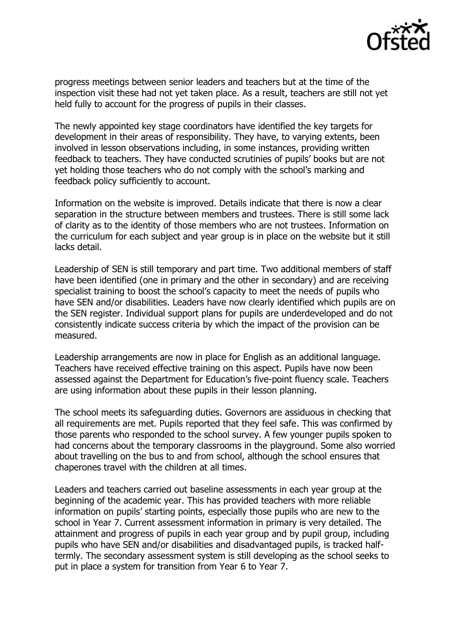

progress meetings between senior leaders and teachers but at the time of the inspection visit these had not yet taken place. As a result, teachers are still not yet held fully to account for the progress of pupils in their classes.

The newly appointed key stage coordinators have identified the key targets for development in their areas of responsibility. They have, to varying extents, been involved in lesson observations including, in some instances, providing written feedback to teachers. They have conducted scrutinies of pupils' books but are not yet holding those teachers who do not comply with the school's marking and feedback policy sufficiently to account.

Information on the website is improved. Details indicate that there is now a clear separation in the structure between members and trustees. There is still some lack of clarity as to the identity of those members who are not trustees. Information on the curriculum for each subject and year group is in place on the website but it still lacks detail.

Leadership of SEN is still temporary and part time. Two additional members of staff have been identified (one in primary and the other in secondary) and are receiving specialist training to boost the school's capacity to meet the needs of pupils who have SEN and/or disabilities. Leaders have now clearly identified which pupils are on the SEN register. Individual support plans for pupils are underdeveloped and do not consistently indicate success criteria by which the impact of the provision can be measured.

Leadership arrangements are now in place for English as an additional language. Teachers have received effective training on this aspect. Pupils have now been assessed against the Department for Education's five-point fluency scale. Teachers are using information about these pupils in their lesson planning.

The school meets its safeguarding duties. Governors are assiduous in checking that all requirements are met. Pupils reported that they feel safe. This was confirmed by those parents who responded to the school survey. A few younger pupils spoken to had concerns about the temporary classrooms in the playground. Some also worried about travelling on the bus to and from school, although the school ensures that chaperones travel with the children at all times.

Leaders and teachers carried out baseline assessments in each year group at the beginning of the academic year. This has provided teachers with more reliable information on pupils' starting points, especially those pupils who are new to the school in Year 7. Current assessment information in primary is very detailed. The attainment and progress of pupils in each year group and by pupil group, including pupils who have SEN and/or disabilities and disadvantaged pupils, is tracked halftermly. The secondary assessment system is still developing as the school seeks to put in place a system for transition from Year 6 to Year 7.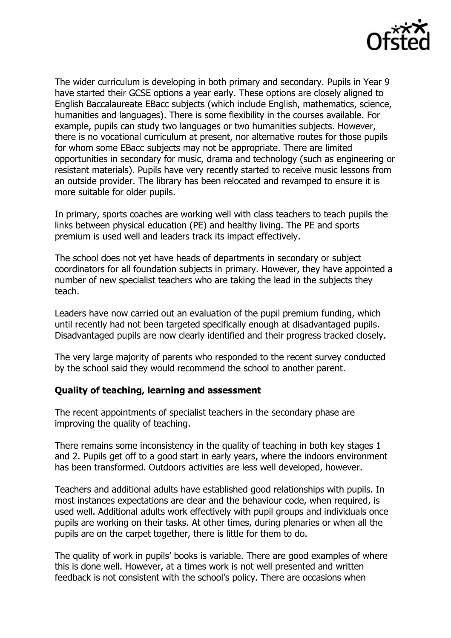

The wider curriculum is developing in both primary and secondary. Pupils in Year 9 have started their GCSE options a year early. These options are closely aligned to English Baccalaureate EBacc subjects (which include English, mathematics, science, humanities and languages). There is some flexibility in the courses available. For example, pupils can study two languages or two humanities subjects. However, there is no vocational curriculum at present, nor alternative routes for those pupils for whom some EBacc subjects may not be appropriate. There are limited opportunities in secondary for music, drama and technology (such as engineering or resistant materials). Pupils have very recently started to receive music lessons from an outside provider. The library has been relocated and revamped to ensure it is more suitable for older pupils.

In primary, sports coaches are working well with class teachers to teach pupils the links between physical education (PE) and healthy living. The PE and sports premium is used well and leaders track its impact effectively.

The school does not yet have heads of departments in secondary or subject coordinators for all foundation subjects in primary. However, they have appointed a number of new specialist teachers who are taking the lead in the subjects they teach.

Leaders have now carried out an evaluation of the pupil premium funding, which until recently had not been targeted specifically enough at disadvantaged pupils. Disadvantaged pupils are now clearly identified and their progress tracked closely.

The very large majority of parents who responded to the recent survey conducted by the school said they would recommend the school to another parent.

### **Quality of teaching, learning and assessment**

The recent appointments of specialist teachers in the secondary phase are improving the quality of teaching.

There remains some inconsistency in the quality of teaching in both key stages 1 and 2. Pupils get off to a good start in early years, where the indoors environment has been transformed. Outdoors activities are less well developed, however.

Teachers and additional adults have established good relationships with pupils. In most instances expectations are clear and the behaviour code, when required, is used well. Additional adults work effectively with pupil groups and individuals once pupils are working on their tasks. At other times, during plenaries or when all the pupils are on the carpet together, there is little for them to do.

The quality of work in pupils' books is variable. There are good examples of where this is done well. However, at a times work is not well presented and written feedback is not consistent with the school's policy. There are occasions when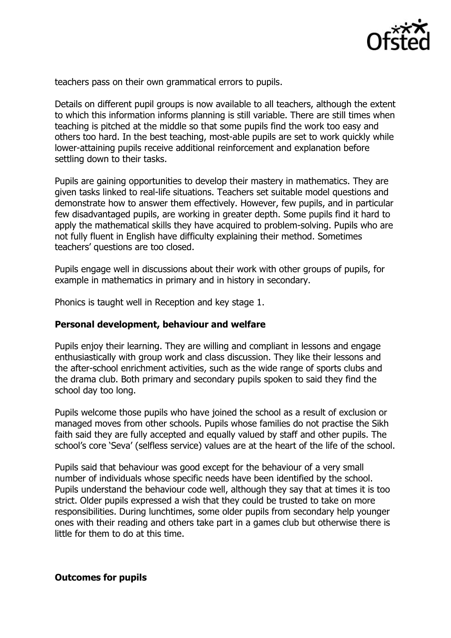

teachers pass on their own grammatical errors to pupils.

Details on different pupil groups is now available to all teachers, although the extent to which this information informs planning is still variable. There are still times when teaching is pitched at the middle so that some pupils find the work too easy and others too hard. In the best teaching, most-able pupils are set to work quickly while lower-attaining pupils receive additional reinforcement and explanation before settling down to their tasks.

Pupils are gaining opportunities to develop their mastery in mathematics. They are given tasks linked to real-life situations. Teachers set suitable model questions and demonstrate how to answer them effectively. However, few pupils, and in particular few disadvantaged pupils, are working in greater depth. Some pupils find it hard to apply the mathematical skills they have acquired to problem-solving. Pupils who are not fully fluent in English have difficulty explaining their method. Sometimes teachers' questions are too closed.

Pupils engage well in discussions about their work with other groups of pupils, for example in mathematics in primary and in history in secondary.

Phonics is taught well in Reception and key stage 1.

#### **Personal development, behaviour and welfare**

Pupils enjoy their learning. They are willing and compliant in lessons and engage enthusiastically with group work and class discussion. They like their lessons and the after-school enrichment activities, such as the wide range of sports clubs and the drama club. Both primary and secondary pupils spoken to said they find the school day too long.

Pupils welcome those pupils who have joined the school as a result of exclusion or managed moves from other schools. Pupils whose families do not practise the Sikh faith said they are fully accepted and equally valued by staff and other pupils. The school's core 'Seva' (selfless service) values are at the heart of the life of the school.

Pupils said that behaviour was good except for the behaviour of a very small number of individuals whose specific needs have been identified by the school. Pupils understand the behaviour code well, although they say that at times it is too strict. Older pupils expressed a wish that they could be trusted to take on more responsibilities. During lunchtimes, some older pupils from secondary help younger ones with their reading and others take part in a games club but otherwise there is little for them to do at this time.

#### **Outcomes for pupils**